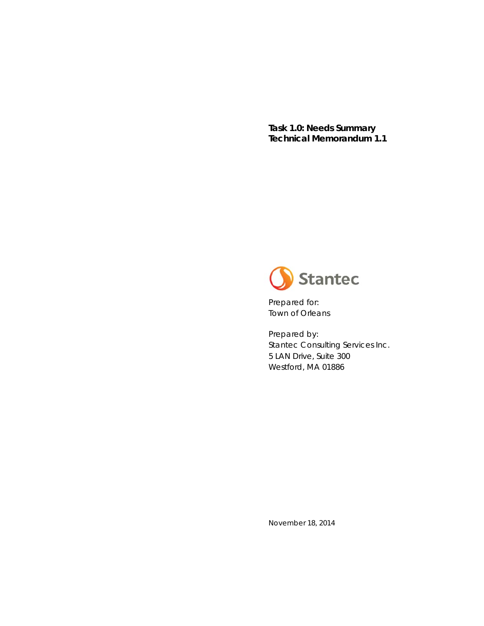**Task 1.0: Needs Summary Technical Memorandum 1.1** 



Prepared for: Town of Orleans

Prepared by: Stantec Consulting Services Inc. 5 LAN Drive, Suite 300 Westford, MA 01886

November 18, 2014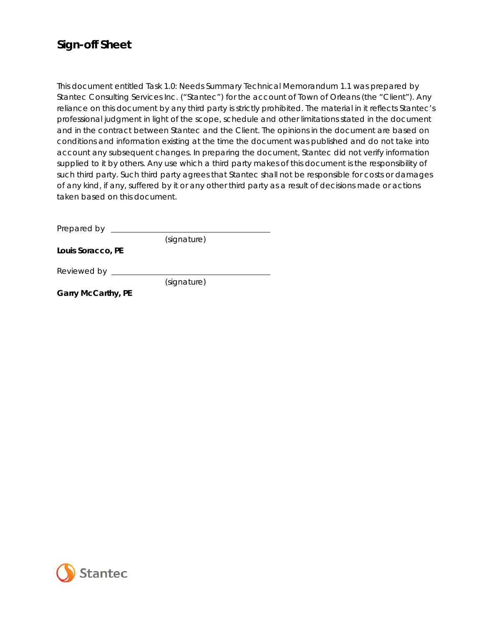### **Sign-off Sheet**

This document entitled Task 1.0: Needs Summary Technical Memorandum 1.1 was prepared by Stantec Consulting Services Inc. ("Stantec") for the account of Town of Orleans (the "Client"). Any reliance on this document by any third party is strictly prohibited. The material in it reflects Stantec's professional judgment in light of the scope, schedule and other limitations stated in the document and in the contract between Stantec and the Client. The opinions in the document are based on conditions and information existing at the time the document was published and do not take into account any subsequent changes. In preparing the document, Stantec did not verify information supplied to it by others. Any use which a third party makes of this document is the responsibility of such third party. Such third party agrees that Stantec shall not be responsible for costs or damages of any kind, if any, suffered by it or any other third party as a result of decisions made or actions taken based on this document.

Prepared by (signature)

**Louis Soracco, PE** 

Reviewed by **contained Reviewed** by **containing the symmetry of the symmetry** 

(signature)

**Garry McCarthy, PE** 

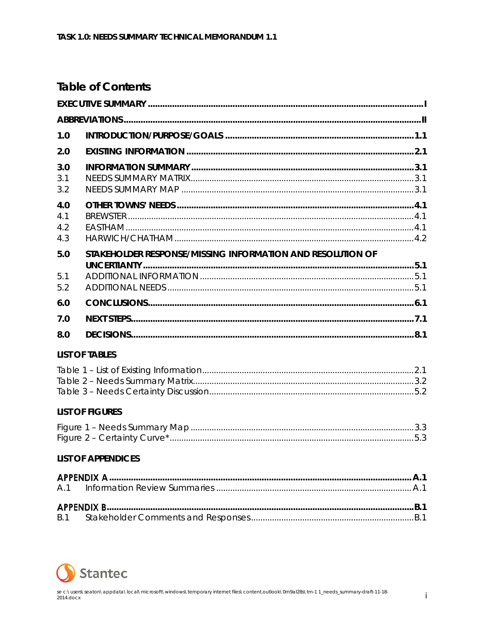### **Table of Contents**

| 1.0                      |                                                            |  |
|--------------------------|------------------------------------------------------------|--|
| 2.0                      |                                                            |  |
| 3.0<br>3.1<br>3.2        |                                                            |  |
| 4.0<br>4.1<br>4.2<br>4.3 |                                                            |  |
| 5.0<br>5.1<br>5.2        | STAKEHOLDER RESPONSE/MISSING INFORMATION AND RESOLUTION OF |  |
| 6.0                      |                                                            |  |
| 7.0                      |                                                            |  |
| 8.0                      |                                                            |  |
|                          | <b>LIST OF TABLES</b>                                      |  |
|                          |                                                            |  |
|                          | <b>LIST OF FIGURES</b>                                     |  |
|                          |                                                            |  |
|                          | <b>LIST OF APPENDICES</b>                                  |  |
| A.1                      |                                                            |  |
| <b>B.1</b>               |                                                            |  |

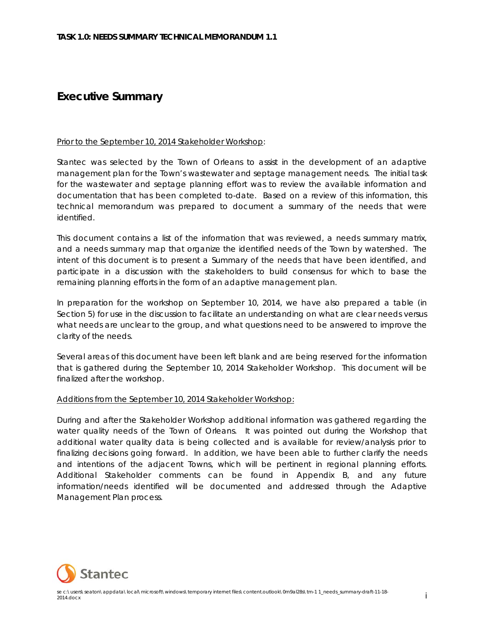### **Executive Summary**

#### Prior to the September 10, 2014 Stakeholder Workshop:

Stantec was selected by the Town of Orleans to assist in the development of an adaptive management plan for the Town's wastewater and septage management needs. The initial task for the wastewater and septage planning effort was to review the available information and documentation that has been completed to-date. Based on a review of this information, this technical memorandum was prepared to document a summary of the needs that were identified.

This document contains a list of the information that was reviewed, a needs summary matrix, and a needs summary map that organize the identified needs of the Town by watershed. The intent of this document is to present a Summary of the needs that have been identified, and participate in a discussion with the stakeholders to build consensus for which to base the remaining planning efforts in the form of an adaptive management plan.

In preparation for the workshop on September 10, 2014, we have also prepared a table (in Section 5) for use in the discussion to facilitate an understanding on what are clear needs versus what needs are unclear to the group, and what questions need to be answered to improve the clarity of the needs.

Several areas of this document have been left blank and are being reserved for the information that is gathered during the September 10, 2014 Stakeholder Workshop. This document will be finalized after the workshop.

#### Additions from the September 10, 2014 Stakeholder Workshop:

During and after the Stakeholder Workshop additional information was gathered regarding the water quality needs of the Town of Orleans. It was pointed out during the Workshop that additional water quality data is being collected and is available for review/analysis prior to finalizing decisions going forward. In addition, we have been able to further clarify the needs and intentions of the adjacent Towns, which will be pertinent in regional planning efforts. Additional Stakeholder comments can be found in Appendix B, and any future information/needs identified will be documented and addressed through the Adaptive Management Plan process.

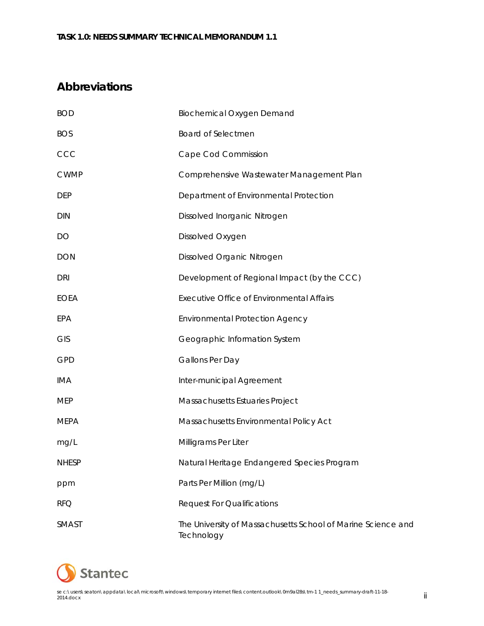### **Abbreviations**

| <b>BOD</b>   | <b>Biochemical Oxygen Demand</b>                                           |
|--------------|----------------------------------------------------------------------------|
| <b>BOS</b>   | Board of Selectmen                                                         |
| CCC          | Cape Cod Commission                                                        |
| <b>CWMP</b>  | Comprehensive Wastewater Management Plan                                   |
| <b>DEP</b>   | Department of Environmental Protection                                     |
| <b>DIN</b>   | Dissolved Inorganic Nitrogen                                               |
| DO           | Dissolved Oxygen                                                           |
| <b>DON</b>   | Dissolved Organic Nitrogen                                                 |
| <b>DRI</b>   | Development of Regional Impact (by the CCC)                                |
| <b>EOEA</b>  | <b>Executive Office of Environmental Affairs</b>                           |
| EPA          | <b>Environmental Protection Agency</b>                                     |
| <b>GIS</b>   | Geographic Information System                                              |
| <b>GPD</b>   | Gallons Per Day                                                            |
| <b>IMA</b>   | Inter-municipal Agreement                                                  |
| <b>MEP</b>   | Massachusetts Estuaries Project                                            |
| <b>MEPA</b>  | Massachusetts Environmental Policy Act                                     |
| mg/L         | Milligrams Per Liter                                                       |
| <b>NHESP</b> | Natural Heritage Endangered Species Program                                |
| ppm          | Parts Per Million (mg/L)                                                   |
| <b>RFQ</b>   | <b>Request For Qualifications</b>                                          |
| SMAST        | The University of Massachusetts School of Marine Science and<br>Technology |

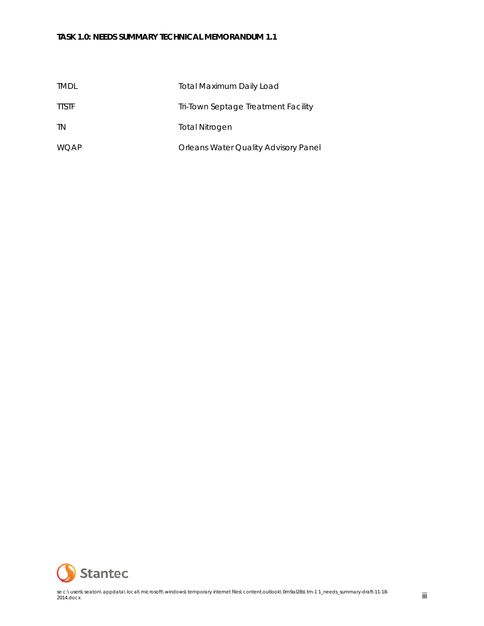| <b>TMDL</b>  | <b>Total Maximum Daily Load</b>      |
|--------------|--------------------------------------|
| <b>TTSTF</b> | Tri-Town Septage Treatment Facility  |
| <b>TN</b>    | Total Nitrogen                       |
| <b>WOAP</b>  | Orleans Water Quality Advisory Panel |

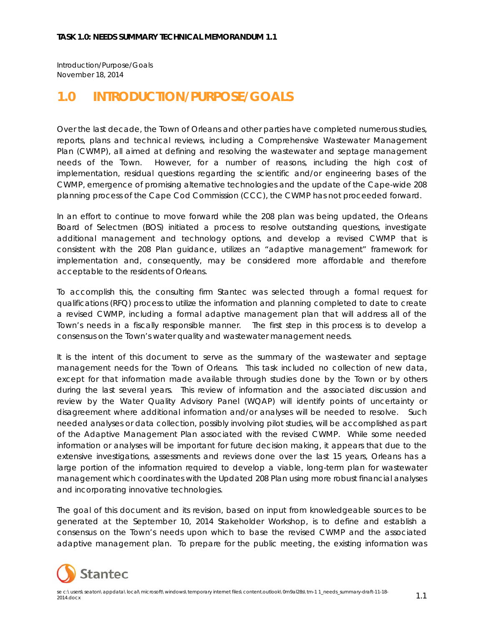Introduction/Purpose/Goals November 18, 2014

## **1.0 INTRODUCTION/PURPOSE/GOALS**

Over the last decade, the Town of Orleans and other parties have completed numerous studies, reports, plans and technical reviews, including a Comprehensive Wastewater Management Plan (CWMP), all aimed at defining and resolving the wastewater and septage management needs of the Town. However, for a number of reasons, including the high cost of implementation, residual questions regarding the scientific and/or engineering bases of the CWMP, emergence of promising alternative technologies and the update of the Cape-wide 208 planning process of the Cape Cod Commission (CCC), the CWMP has not proceeded forward.

In an effort to continue to move forward while the 208 plan was being updated, the Orleans Board of Selectmen (BOS) initiated a process to resolve outstanding questions, investigate additional management and technology options, and develop a revised CWMP that is consistent with the 208 Plan guidance, utilizes an "adaptive management" framework for implementation and, consequently, may be considered more affordable and therefore acceptable to the residents of Orleans.

To accomplish this, the consulting firm Stantec was selected through a formal request for qualifications (RFQ) process to utilize the information and planning completed to date to create a revised CWMP, including a formal adaptive management plan that will address all of the Town's needs in a fiscally responsible manner. The first step in this process is to develop a consensus on the Town's water quality and wastewater management needs.

It is the intent of this document to serve as the summary of the wastewater and septage management needs for the Town of Orleans. This task included no collection of new data, except for that information made available through studies done by the Town or by others during the last several years. This review of information and the associated discussion and review by the Water Quality Advisory Panel (WQAP) will identify points of uncertainty or disagreement where additional information and/or analyses will be needed to resolve. Such needed analyses or data collection, possibly involving pilot studies, will be accomplished as part of the Adaptive Management Plan associated with the revised CWMP. While some needed information or analyses will be important for future decision making, it appears that due to the extensive investigations, assessments and reviews done over the last 15 years, Orleans has a large portion of the information required to develop a viable, long-term plan for wastewater management which coordinates with the Updated 208 Plan using more robust financial analyses and incorporating innovative technologies.

The goal of this document and its revision, based on input from knowledgeable sources to be generated at the September 10, 2014 Stakeholder Workshop, is to define and establish a consensus on the Town's needs upon which to base the revised CWMP and the associated adaptive management plan. To prepare for the public meeting, the existing information was

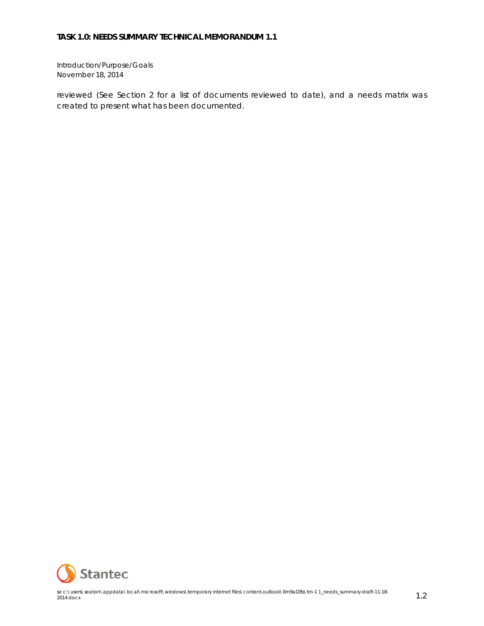Introduction/Purpose/Goals November 18, 2014

reviewed (See Section 2 for a list of documents reviewed to date), and a needs matrix was created to present what has been documented.

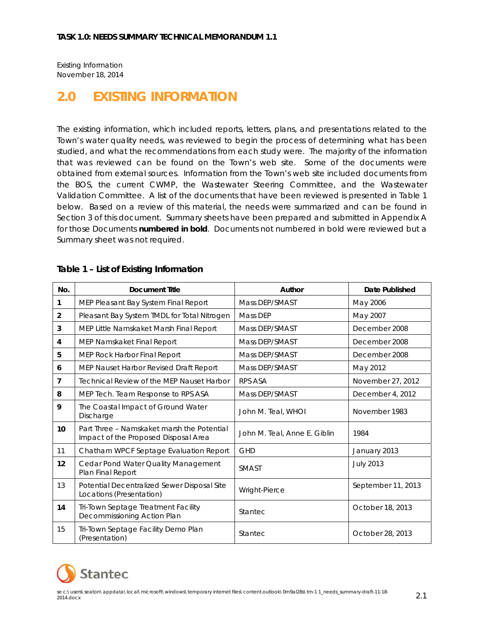Existing Information November 18, 2014

## **2.0 EXISTING INFORMATION**

The existing information, which included reports, letters, plans, and presentations related to the Town's water quality needs, was reviewed to begin the process of determining what has been studied, and what the recommendations from each study were. The majority of the information that was reviewed can be found on the Town's web site. Some of the documents were obtained from external sources. Information from the Town's web site included documents from the BOS, the current CWMP, the Wastewater Steering Committee, and the Wastewater Validation Committee. A list of the documents that have been reviewed is presented in Table 1 below. Based on a review of this material, the needs were summarized and can be found in Section 3 of this document. Summary sheets have been prepared and submitted in Appendix A for those Documents **numbered in bold**. Documents not numbered in bold were reviewed but a Summary sheet was not required.

| No.            | <b>Document Title</b>                                                              | Author                       | Date Published     |
|----------------|------------------------------------------------------------------------------------|------------------------------|--------------------|
| 1              | MEP Pleasant Bay System Final Report                                               | Mass DEP/SMAST               | May 2006           |
| $\overline{2}$ | Pleasant Bay System TMDL for Total Nitrogen                                        | Mass DEP                     | May 2007           |
| 3              | MEP Little Namskaket Marsh Final Report                                            | Mass DEP/SMAST               | December 2008      |
| 4              | MEP Namskaket Final Report                                                         | Mass DEP/SMAST               | December 2008      |
| 5              | MEP Rock Harbor Final Report                                                       | Mass DEP/SMAST               | December 2008      |
| 6              | MEP Nauset Harbor Revised Draft Report                                             | Mass DEP/SMAST               | May 2012           |
| 7              | <b>Technical Review of the MEP Nauset Harbor</b>                                   | RPS ASA                      | November 27, 2012  |
| 8              | MEP Tech. Team Response to RPS ASA                                                 | Mass DEP/SMAST               | December 4, 2012   |
| 9              | The Coastal Impact of Ground Water<br>Discharge                                    | John M. Teal, WHOI           | November 1983      |
| 10             | Part Three – Namskaket marsh the Potential<br>Impact of the Proposed Disposal Area | John M. Teal, Anne E. Giblin | 1984               |
| 11             | Chatham WPCF Septage Evaluation Report                                             | <b>GHD</b>                   | January 2013       |
| 12             | Cedar Pond Water Quality Management<br>Plan Final Report                           | <b>SMAST</b>                 | <b>July 2013</b>   |
| 13             | Potential Decentralized Sewer Disposal Site<br>Locations (Presentation)            | Wright-Pierce                | September 11, 2013 |
| 14             | Tri-Town Septage Treatment Facility<br>Decommissioning Action Plan                 | Stantec                      | October 18, 2013   |
| 15             | Tri-Town Septage Facility Demo Plan<br>(Presentation)                              | <b>Stantec</b>               | October 28, 2013   |

#### **Table 1 – List of Existing Information**

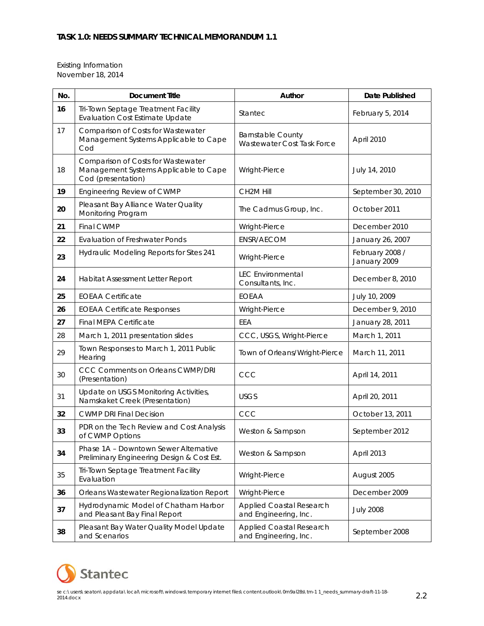Existing Information November 18, 2014

| No. | <b>Document Title</b>                                                                             | Author                                                   | <b>Date Published</b>           |
|-----|---------------------------------------------------------------------------------------------------|----------------------------------------------------------|---------------------------------|
| 16  | Tri-Town Septage Treatment Facility<br><b>Evaluation Cost Estimate Update</b>                     | Stantec                                                  | February 5, 2014                |
| 17  | Comparison of Costs for Wastewater<br>Management Systems Applicable to Cape<br>Cod                | <b>Barnstable County</b><br>Wastewater Cost Task Force   | April 2010                      |
| 18  | Comparison of Costs for Wastewater<br>Management Systems Applicable to Cape<br>Cod (presentation) | Wright-Pierce                                            | July 14, 2010                   |
| 19  | Engineering Review of CWMP                                                                        | CH2M Hill                                                | September 30, 2010              |
| 20  | Pleasant Bay Alliance Water Quality<br>Monitoring Program                                         | The Cadmus Group, Inc.                                   | October 2011                    |
| 21  | Final CWMP                                                                                        | Wright-Pierce                                            | December 2010                   |
| 22  | <b>Evaluation of Freshwater Ponds</b>                                                             | ENSR/AECOM                                               | January 26, 2007                |
| 23  | Hydraulic Modeling Reports for Sites 241                                                          | Wright-Pierce                                            | February 2008 /<br>January 2009 |
| 24  | Habitat Assessment Letter Report                                                                  | <b>LEC Environmental</b><br>Consultants, Inc.            | December 8, 2010                |
| 25  | <b>EOEAA Certificate</b>                                                                          | <b>EOEAA</b>                                             | July 10, 2009                   |
| 26  | <b>EOEAA Certificate Responses</b>                                                                | Wright-Pierce                                            | December 9, 2010                |
| 27  | Final MEPA Certificate                                                                            | EEA                                                      | January 28, 2011                |
| 28  | March 1, 2011 presentation slides                                                                 | CCC, USGS, Wright-Pierce                                 | March 1, 2011                   |
| 29  | Town Responses to March 1, 2011 Public<br>Hearing                                                 | Town of Orleans/Wright-Pierce                            | March 11, 2011                  |
| 30  | <b>CCC Comments on Orleans CWMP/DRI</b><br>(Presentation)                                         | CCC                                                      | April 14, 2011                  |
| 31  | Update on USGS Monitoring Activities,<br>Namskaket Creek (Presentation)                           | <b>USGS</b>                                              | April 20, 2011                  |
| 32  | <b>CWMP DRI Final Decision</b>                                                                    | CCC                                                      | October 13, 2011                |
| 33  | PDR on the Tech Review and Cost Analysis<br>of CWMP Options                                       | Weston & Sampson                                         | September 2012                  |
| 34  | Phase 1A - Downtown Sewer Alternative<br>Preliminary Engineering Design & Cost Est.               | Weston & Sampson                                         | April 2013                      |
| 35  | Tri-Town Septage Treatment Facility<br>Evaluation                                                 | Wright-Pierce                                            | August 2005                     |
| 36  | Orleans Wastewater Regionalization Report                                                         | Wright-Pierce                                            | December 2009                   |
| 37  | Hydrodynamic Model of Chatham Harbor<br>and Pleasant Bay Final Report                             | <b>Applied Coastal Research</b><br>and Engineering, Inc. | <b>July 2008</b>                |
| 38  | Pleasant Bay Water Quality Model Update<br>and Scenarios                                          | <b>Applied Coastal Research</b><br>and Engineering, Inc. | September 2008                  |

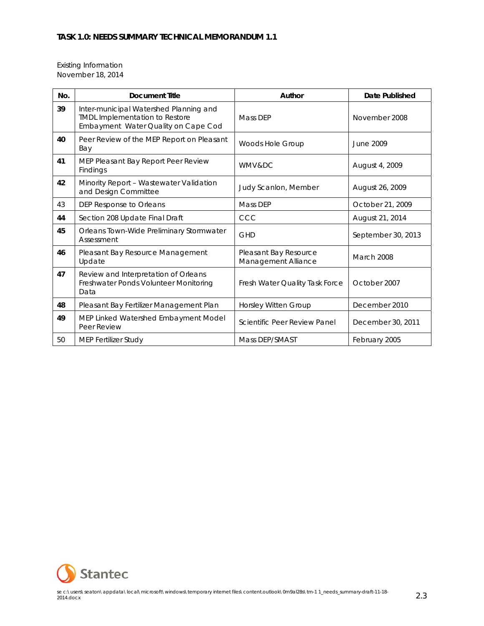Existing Information November 18, 2014

| No. | <b>Document Title</b>                                                                                                  | Author                                       | Date Published     |
|-----|------------------------------------------------------------------------------------------------------------------------|----------------------------------------------|--------------------|
| 39  | Inter-municipal Watershed Planning and<br><b>TMDL Implementation to Restore</b><br>Embayment Water Quality on Cape Cod | Mass DEP                                     | November 2008      |
| 40  | Peer Review of the MEP Report on Pleasant<br>Bay                                                                       | Woods Hole Group                             | June 2009          |
| 41  | MEP Pleasant Bay Report Peer Review<br>Findings                                                                        | <b>WMV&amp;DC</b>                            | August 4, 2009     |
| 42  | Minority Report - Wastewater Validation<br>and Design Committee                                                        | Judy Scanlon, Member                         | August 26, 2009    |
| 43  | DEP Response to Orleans                                                                                                | Mass DEP                                     | October 21, 2009   |
| 44  | Section 208 Update Final Draft                                                                                         | CCC                                          | August 21, 2014    |
| 45  | Orleans Town-Wide Preliminary Stormwater<br>Assessment                                                                 | <b>GHD</b>                                   | September 30, 2013 |
| 46  | Pleasant Bay Resource Management<br>Update                                                                             | Pleasant Bay Resource<br>Management Alliance | March 2008         |
| 47  | Review and Interpretation of Orleans<br>Freshwater Ponds Volunteer Monitoring<br>Data                                  | Fresh Water Quality Task Force               | October 2007       |
| 48  | Pleasant Bay Fertilizer Management Plan                                                                                | <b>Horsley Witten Group</b>                  | December 2010      |
| 49  | MEP Linked Watershed Embayment Model<br>Peer Review                                                                    | Scientific Peer Review Panel                 | December 30, 2011  |
| 50  | <b>MEP Fertilizer Study</b>                                                                                            | Mass DEP/SMAST                               | February 2005      |

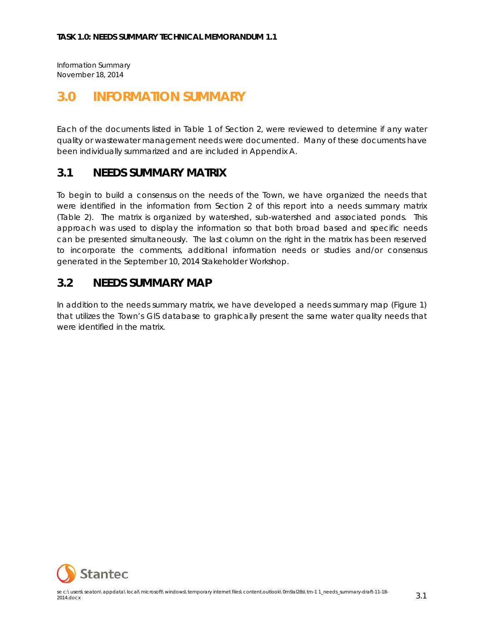Information Summary November 18, 2014

## **3.0 INFORMATION SUMMARY**

Each of the documents listed in Table 1 of Section 2, were reviewed to determine if any water quality or wastewater management needs were documented. Many of these documents have been individually summarized and are included in Appendix A.

### **3.1 NEEDS SUMMARY MATRIX**

To begin to build a consensus on the needs of the Town, we have organized the needs that were identified in the information from Section 2 of this report into a needs summary matrix (Table 2). The matrix is organized by watershed, sub-watershed and associated ponds. This approach was used to display the information so that both broad based and specific needs can be presented simultaneously. The last column on the right in the matrix has been reserved to incorporate the comments, additional information needs or studies and/or consensus generated in the September 10, 2014 Stakeholder Workshop.

### **3.2 NEEDS SUMMARY MAP**

In addition to the needs summary matrix, we have developed a needs summary map (Figure 1) that utilizes the Town's GIS database to graphically present the same water quality needs that were identified in the matrix.

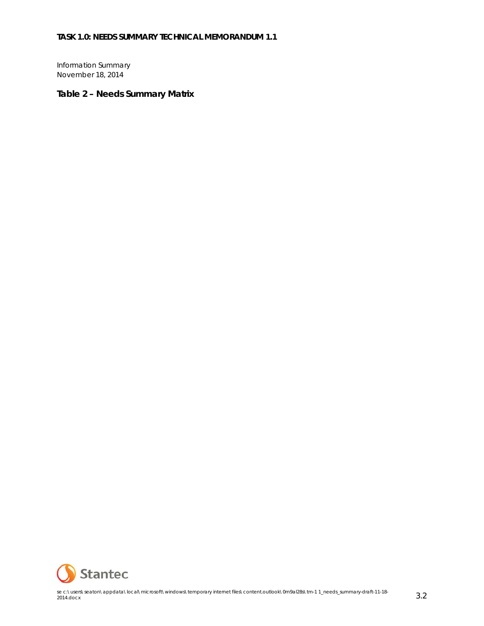Information Summary November 18, 2014

#### **Table 2 – Needs Summary Matrix**

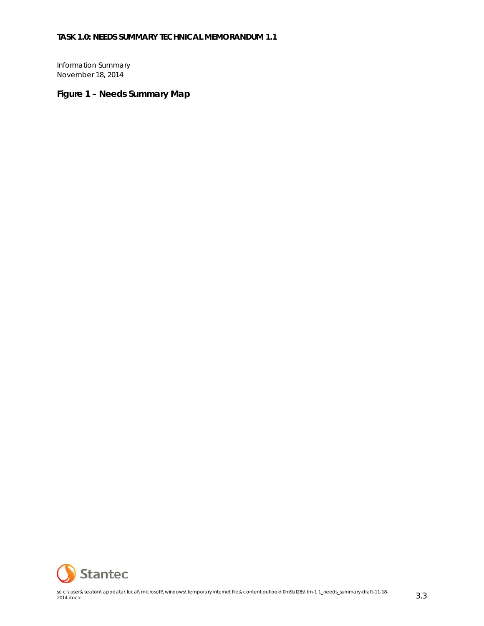Information Summary November 18, 2014

### **Figure 1 – Needs Summary Map**

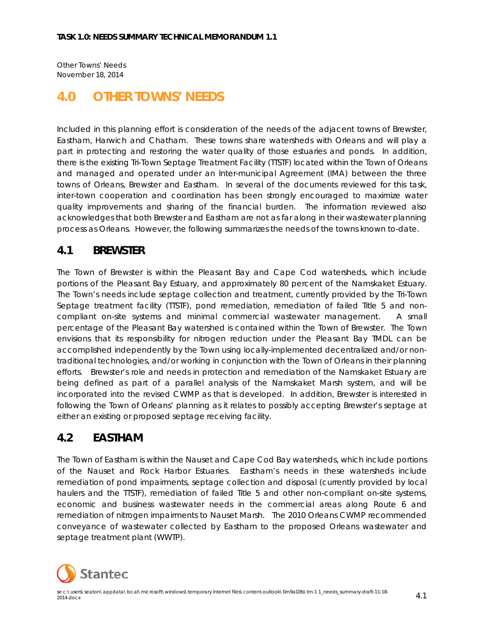Other Towns' Needs November 18, 2014

## **4.0 OTHER TOWNS' NEEDS**

Included in this planning effort is consideration of the needs of the adjacent towns of Brewster, Eastham, Harwich and Chatham. These towns share watersheds with Orleans and will play a part in protecting and restoring the water quality of those estuaries and ponds. In addition, there is the existing Tri-Town Septage Treatment Facility (TTSTF) located within the Town of Orleans and managed and operated under an Inter-municipal Agreement (IMA) between the three towns of Orleans, Brewster and Eastham. In several of the documents reviewed for this task, inter-town cooperation and coordination has been strongly encouraged to maximize water quality improvements and sharing of the financial burden. The information reviewed also acknowledges that both Brewster and Eastham are not as far along in their wastewater planning process as Orleans. However, the following summarizes the needs of the towns known to-date.

### **4.1 BREWSTER**

The Town of Brewster is within the Pleasant Bay and Cape Cod watersheds, which include portions of the Pleasant Bay Estuary, and approximately 80 percent of the Namskaket Estuary. The Town's needs include septage collection and treatment, currently provided by the Tri-Town Septage treatment facility (TTSTF), pond remediation, remediation of failed Title 5 and noncompliant on-site systems and minimal commercial wastewater management. A small percentage of the Pleasant Bay watershed is contained within the Town of Brewster. The Town envisions that its responsibility for nitrogen reduction under the Pleasant Bay TMDL can be accomplished independently by the Town using locally-implemented decentralized and/or nontraditional technologies, and/or working in conjunction with the Town of Orleans in their planning efforts. Brewster's role and needs in protection and remediation of the Namskaket Estuary are being defined as part of a parallel analysis of the Namskaket Marsh system, and will be incorporated into the revised CWMP as that is developed. In addition, Brewster is interested in following the Town of Orleans' planning as it relates to possibly accepting Brewster's septage at either an existing or proposed septage receiving facility.

### **4.2 EASTHAM**

The Town of Eastham is within the Nauset and Cape Cod Bay watersheds, which include portions of the Nauset and Rock Harbor Estuaries. Eastham's needs in these watersheds include remediation of pond impairments, septage collection and disposal (currently provided by local haulers and the TTSTF), remediation of failed Title 5 and other non-compliant on-site systems, economic and business wastewater needs in the commercial areas along Route 6 and remediation of nitrogen impairments to Nauset Marsh. The 2010 Orleans CWMP recommended conveyance of wastewater collected by Eastham to the proposed Orleans wastewater and septage treatment plant (WWTP).

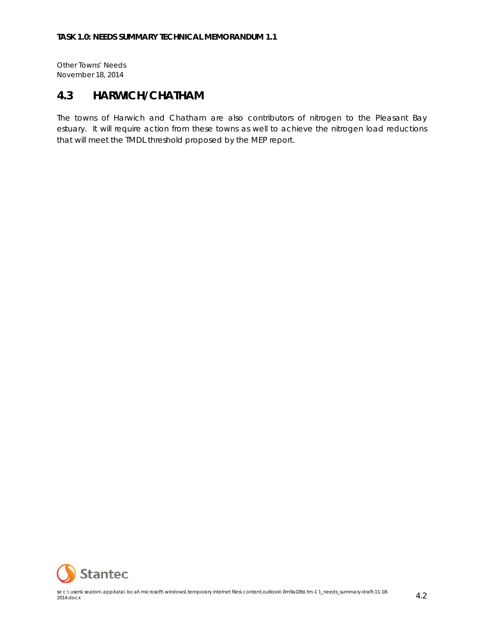Other Towns' Needs November 18, 2014

### **4.3 HARWICH/CHATHAM**

The towns of Harwich and Chatham are also contributors of nitrogen to the Pleasant Bay estuary. It will require action from these towns as well to achieve the nitrogen load reductions that will meet the TMDL threshold proposed by the MEP report.

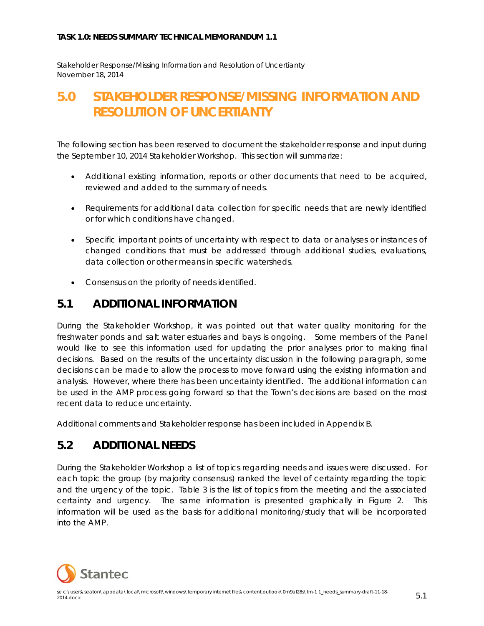Stakeholder Response/Missing Information and Resolution of Uncertianty November 18, 2014

## **5.0 STAKEHOLDER RESPONSE/MISSING INFORMATION AND RESOLUTION OF UNCERTIANTY**

The following section has been reserved to document the stakeholder response and input during the September 10, 2014 Stakeholder Workshop. This section will summarize:

- Additional existing information, reports or other documents that need to be acquired, reviewed and added to the summary of needs.
- Requirements for additional data collection for specific needs that are newly identified or for which conditions have changed.
- Specific important points of uncertainty with respect to data or analyses or instances of changed conditions that must be addressed through additional studies, evaluations, data collection or other means in specific watersheds.
- Consensus on the priority of needs identified.

### **5.1 ADDITIONAL INFORMATION**

During the Stakeholder Workshop, it was pointed out that water quality monitoring for the freshwater ponds and salt water estuaries and bays is ongoing. Some members of the Panel would like to see this information used for updating the prior analyses prior to making final decisions. Based on the results of the uncertainty discussion in the following paragraph, some decisions can be made to allow the process to move forward using the existing information and analysis. However, where there has been uncertainty identified. The additional information can be used in the AMP process going forward so that the Town's decisions are based on the most recent data to reduce uncertainty.

Additional comments and Stakeholder response has been included in Appendix B.

### **5.2 ADDITIONAL NEEDS**

During the Stakeholder Workshop a list of topics regarding needs and issues were discussed. For each topic the group (by majority consensus) ranked the level of certainty regarding the topic and the urgency of the topic. Table 3 is the list of topics from the meeting and the associated certainty and urgency. The same information is presented graphically in Figure 2. This information will be used as the basis for additional monitoring/study that will be incorporated into the AMP.

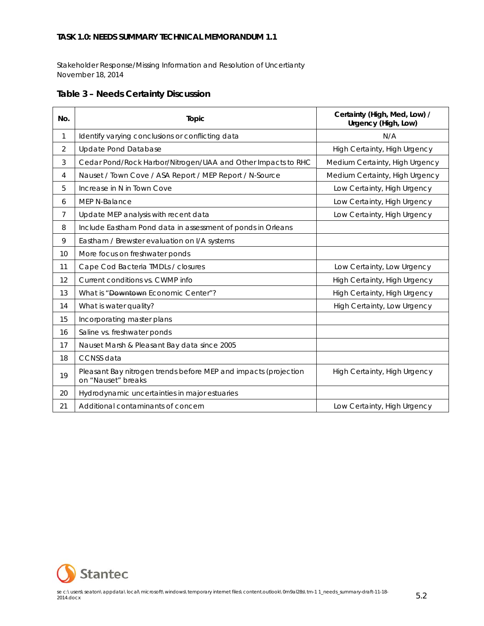Stakeholder Response/Missing Information and Resolution of Uncertianty November 18, 2014

|  |  |  | <b>Table 3 - Needs Certainty Discussion</b> |
|--|--|--|---------------------------------------------|
|--|--|--|---------------------------------------------|

| No.            | Topic                                                                                 | Certainty (High, Med, Low) /<br>Urgency (High, Low) |
|----------------|---------------------------------------------------------------------------------------|-----------------------------------------------------|
| $\mathbf{1}$   | Identify varying conclusions or conflicting data                                      | N/A                                                 |
| $\overline{2}$ | <b>Update Pond Database</b>                                                           | High Certainty, High Urgency                        |
| 3              | Cedar Pond/Rock Harbor/Nitrogen/UAA and Other Impacts to RHC                          | Medium Certainty, High Urgency                      |
| 4              | Nauset / Town Cove / ASA Report / MEP Report / N-Source                               | Medium Certainty, High Urgency                      |
| 5              | Increase in N in Town Cove                                                            | Low Certainty, High Urgency                         |
| 6              | MEP N-Balance                                                                         | Low Certainty, High Urgency                         |
| $\overline{7}$ | Update MEP analysis with recent data                                                  | Low Certainty, High Urgency                         |
| 8              | Include Eastham Pond data in assessment of ponds in Orleans                           |                                                     |
| 9              | Eastham / Brewster evaluation on I/A systems                                          |                                                     |
| 10             | More focus on freshwater ponds                                                        |                                                     |
| 11             | Cape Cod Bacteria TMDLs / closures                                                    | Low Certainty, Low Urgency                          |
| 12             | Current conditions vs. CWMP info                                                      | High Certainty, High Urgency                        |
| 13             | What is "Downtown Economic Center"?                                                   | High Certainty, High Urgency                        |
| 14             | What is water quality?                                                                | High Certainty, Low Urgency                         |
| 15             | Incorporating master plans                                                            |                                                     |
| 16             | Saline vs. freshwater ponds                                                           |                                                     |
| 17             | Nauset Marsh & Pleasant Bay data since 2005                                           |                                                     |
| 18             | <b>CCNSS</b> data                                                                     |                                                     |
| 19             | Pleasant Bay nitrogen trends before MEP and impacts (projection<br>on "Nauset" breaks | High Certainty, High Urgency                        |
| 20             | Hydrodynamic uncertainties in major estuaries                                         |                                                     |
| 21             | Additional contaminants of concern                                                    | Low Certainty, High Urgency                         |

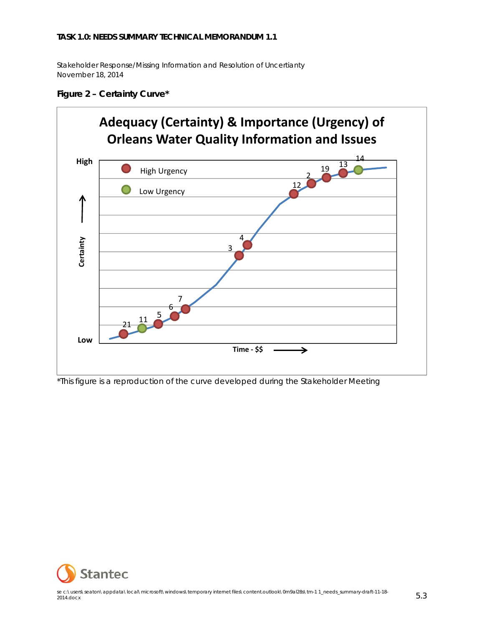Stakeholder Response/Missing Information and Resolution of Uncertianty November 18, 2014



#### **Figure 2 – Certainty Curve\***

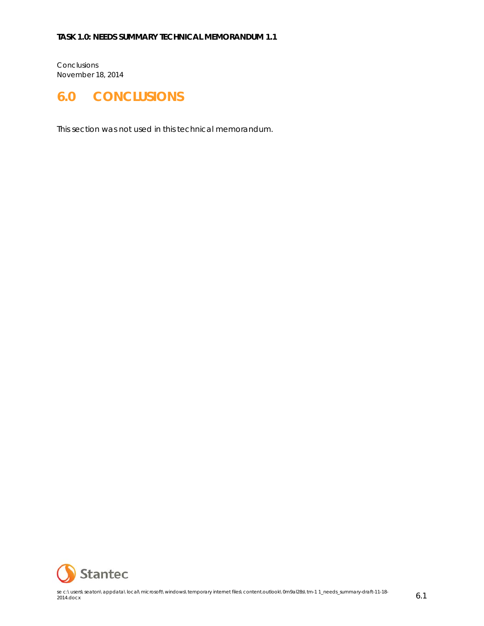Conclusions November 18, 2014

# **6.0 CONCLUSIONS**

This section was not used in this technical memorandum.

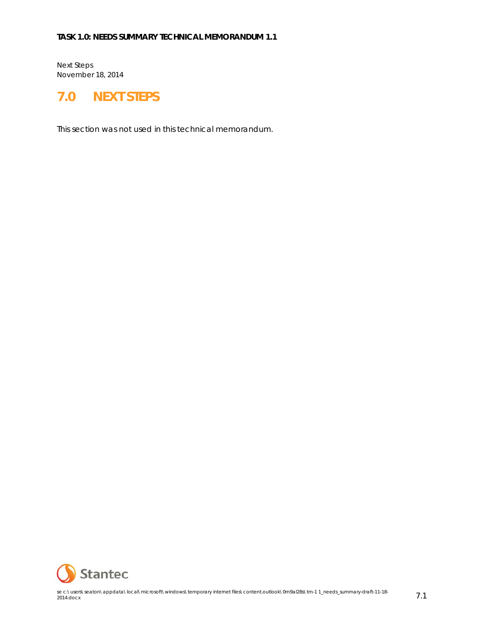Next Steps November 18, 2014

## **7.0 NEXT STEPS**

This section was not used in this technical memorandum.

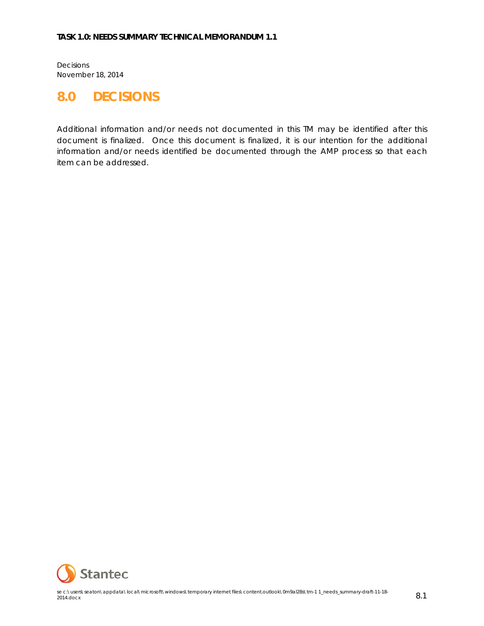Decisions November 18, 2014

## **8.0 DECISIONS**

Additional information and/or needs not documented in this TM may be identified after this document is finalized. Once this document is finalized, it is our intention for the additional information and/or needs identified be documented through the AMP process so that each item can be addressed.

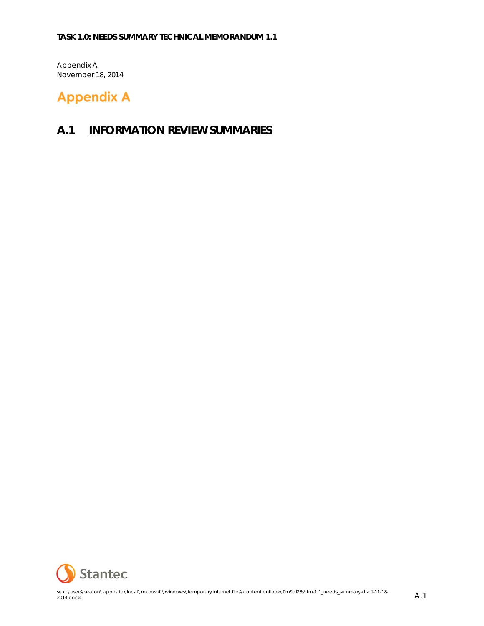Appendix A November 18, 2014

# **Appendix A**

### **A.1 INFORMATION REVIEW SUMMARIES**